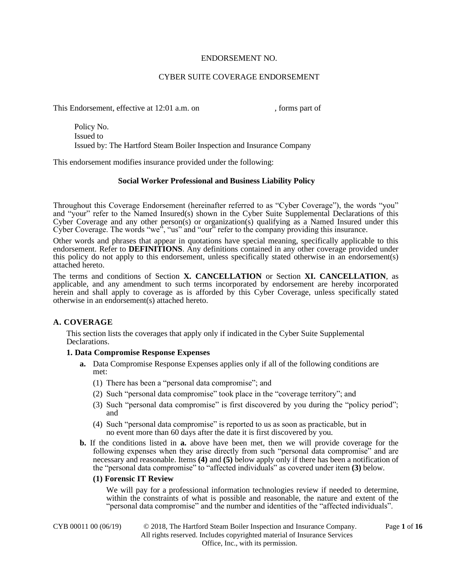## ENDORSEMENT NO.

# CYBER SUITE COVERAGE ENDORSEMENT

This Endorsement, effective at 12:01 a.m. on , forms part of

Policy No. Issued to Issued by: The Hartford Steam Boiler Inspection and Insurance Company

This endorsement modifies insurance provided under the following:

## **Social Worker Professional and Business Liability Policy**

Throughout this Coverage Endorsement (hereinafter referred to as "Cyber Coverage"), the words "you" and "your" refer to the Named Insured(s) shown in the Cyber Suite Supplemental Declarations of this Cyber Coverage and any other person(s) or organization(s) qualifying as a Named Insured under this Cyber Coverage. The words "we", "us" and "our" refer to the company providing this insurance.

Other words and phrases that appear in quotations have special meaning, specifically applicable to this endorsement. Refer to **DEFINITIONS**. Any definitions contained in any other coverage provided under this policy do not apply to this endorsement, unless specifically stated otherwise in an endorsement(s) attached hereto.

The terms and conditions of Section **X. CANCELLATION** or Section **XI. CANCELLATION**, as applicable, and any amendment to such terms incorporated by endorsement are hereby incorporated herein and shall apply to coverage as is afforded by this Cyber Coverage, unless specifically stated otherwise in an endorsement(s) attached hereto.

# **A. COVERAGE**

This section lists the coverages that apply only if indicated in the Cyber Suite Supplemental Declarations.

### **1. Data Compromise Response Expenses**

- **a.** Data Compromise Response Expenses applies only if all of the following conditions are met:
	- (1) There has been a "personal data compromise"; and
	- (2) Such "personal data compromise" took place in the "coverage territory"; and
	- (3) Such "personal data compromise" is first discovered by you during the "policy period"; and
	- (4) Such "personal data compromise" is reported to us as soon as practicable, but in no event more than 60 days after the date it is first discovered by you.
- **b.** If the conditions listed in **a.** above have been met, then we will provide coverage for the following expenses when they arise directly from such "personal data compromise" and are necessary and reasonable. Items **(4)** and **(5)** below apply only if there has been a notification of the "personal data compromise" to "affected individuals" as covered under item **(3)** below.

### **(1) Forensic IT Review**

We will pay for a professional information technologies review if needed to determine, within the constraints of what is possible and reasonable, the nature and extent of the "personal data compromise" and the number and identities of the "affected individuals".

CYB 00011 00 (06/19) © 2018, The Hartford Steam Boiler Inspection and Insurance Company. Page **1** of **16** All rights reserved. Includes copyrighted material of Insurance Services Office, Inc., with its permission.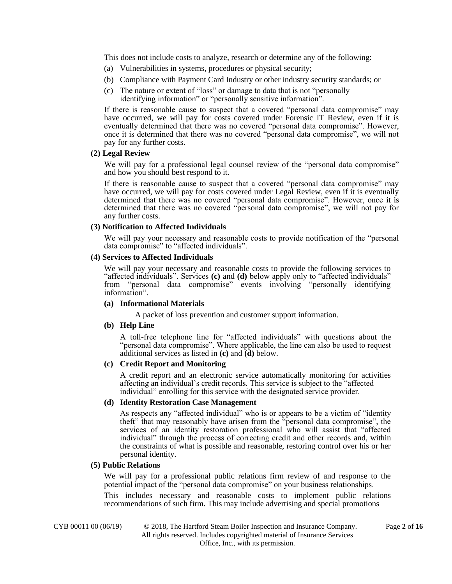This does not include costs to analyze, research or determine any of the following:

- (a) Vulnerabilities in systems, procedures or physical security;
- (b) Compliance with Payment Card Industry or other industry security standards; or
- (c) The nature or extent of "loss" or damage to data that is not "personally
	- identifying information" or "personally sensitive information".

If there is reasonable cause to suspect that a covered "personal data compromise" may have occurred, we will pay for costs covered under Forensic IT Review, even if it is eventually determined that there was no covered "personal data compromise". However, once it is determined that there was no covered "personal data compromise", we will not pay for any further costs.

#### **(2) Legal Review**

We will pay for a professional legal counsel review of the "personal data compromise" and how you should best respond to it.

If there is reasonable cause to suspect that a covered "personal data compromise" may have occurred, we will pay for costs covered under Legal Review, even if it is eventually determined that there was no covered "personal data compromise". However, once it is determined that there was no covered "personal data compromise", we will not pay for any further costs.

#### **(3) Notification to Affected Individuals**

We will pay your necessary and reasonable costs to provide notification of the "personal data compromise" to "affected individuals".

#### **(4) Services to Affected Individuals**

We will pay your necessary and reasonable costs to provide the following services to "affected individuals". Services **(c)** and **(d)** below apply only to "affected individuals" from "personal data compromise" events involving "personally identifying information".

#### **(a) Informational Materials**

A packet of loss prevention and customer support information.

### **(b) Help Line**

A toll-free telephone line for "affected individuals" with questions about the "personal data compromise". Where applicable, the line can also be used to request additional services as listed in **(c)** and **(d)** below.

#### **(c) Credit Report and Monitoring**

A credit report and an electronic service automatically monitoring for activities affecting an individual's credit records. This service is subject to the "affected individual" enrolling for this service with the designated service provider.

#### **(d) Identity Restoration Case Management**

As respects any "affected individual" who is or appears to be a victim of "identity theft" that may reasonably have arisen from the "personal data compromise", the services of an identity restoration professional who will assist that "affected individual" through the process of correcting credit and other records and, within the constraints of what is possible and reasonable, restoring control over his or her personal identity.

#### **(5) Public Relations**

We will pay for a professional public relations firm review of and response to the potential impact of the "personal data compromise" on your business relationships.

This includes necessary and reasonable costs to implement public relations recommendations of such firm. This may include advertising and special promotions

CYB 00011 00 (06/19) © 2018, The Hartford Steam Boiler Inspection and Insurance Company. Page **2** of **16** All rights reserved. Includes copyrighted material of Insurance Services Office, Inc., with its permission.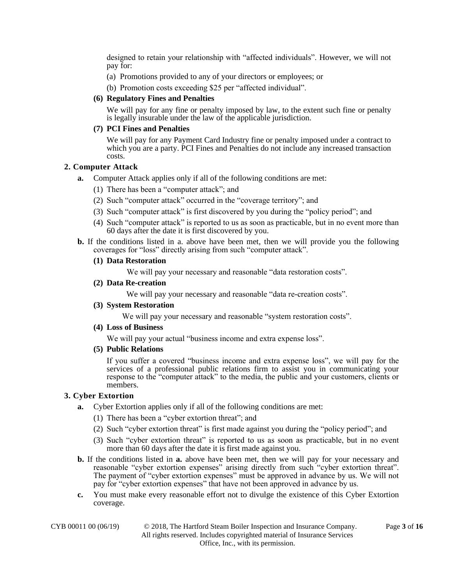designed to retain your relationship with "affected individuals". However, we will not pay for:

- (a) Promotions provided to any of your directors or employees; or
- (b) Promotion costs exceeding \$25 per "affected individual".

#### **(6) Regulatory Fines and Penalties**

We will pay for any fine or penalty imposed by law, to the extent such fine or penalty is legally insurable under the law of the applicable jurisdiction.

#### **(7) PCI Fines and Penalties**

We will pay for any Payment Card Industry fine or penalty imposed under a contract to which you are a party. PCI Fines and Penalties do not include any increased transaction costs.

#### **2. Computer Attack**

- **a.** Computer Attack applies only if all of the following conditions are met:
	- (1) There has been a "computer attack"; and
	- (2) Such "computer attack" occurred in the "coverage territory"; and
	- (3) Such "computer attack" is first discovered by you during the "policy period"; and
	- (4) Such "computer attack" is reported to us as soon as practicable, but in no event more than 60 days after the date it is first discovered by you.
- **b.** If the conditions listed in a. above have been met, then we will provide you the following coverages for "loss" directly arising from such "computer attack".

#### **(1) Data Restoration**

We will pay your necessary and reasonable "data restoration costs".

### **(2) Data Re-creation**

We will pay your necessary and reasonable "data re-creation costs".

**(3) System Restoration**

We will pay your necessary and reasonable "system restoration costs".

**(4) Loss of Business**

We will pay your actual "business income and extra expense loss".

**(5) Public Relations**

If you suffer a covered "business income and extra expense loss", we will pay for the services of a professional public relations firm to assist you in communicating your response to the "computer attack" to the media, the public and your customers, clients or members.

## **3. Cyber Extortion**

- **a.** Cyber Extortion applies only if all of the following conditions are met:
	- (1) There has been a "cyber extortion threat"; and
	- (2) Such "cyber extortion threat" is first made against you during the "policy period"; and
	- (3) Such "cyber extortion threat" is reported to us as soon as practicable, but in no event more than 60 days after the date it is first made against you.
- **b.** If the conditions listed in **a.** above have been met, then we will pay for your necessary and reasonable "cyber extortion expenses" arising directly from such "cyber extortion threat". The payment of "cyber extortion expenses" must be approved in advance by us. We will not pay for "cyber extortion expenses" that have not been approved in advance by us.
- **c.** You must make every reasonable effort not to divulge the existence of this Cyber Extortion coverage.

| CYB 00011 00 (06/19) |  |
|----------------------|--|
|                      |  |

© 2018, The Hartford Steam Boiler Inspection and Insurance Company. Page 3 of 16 All rights reserved. Includes copyrighted material of Insurance Services Office, Inc., with its permission.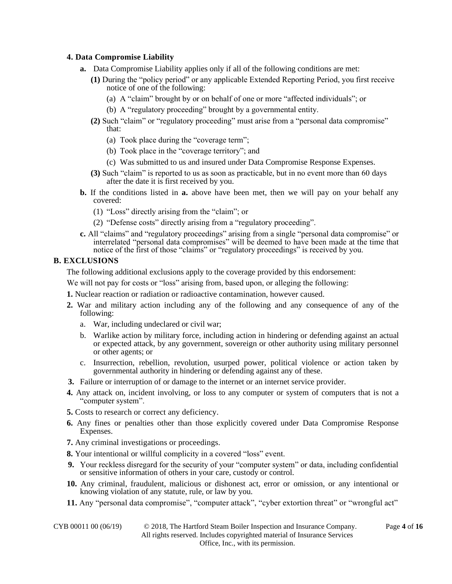## **4. Data Compromise Liability**

- **a.** Data Compromise Liability applies only if all of the following conditions are met:
	- **(1)** During the "policy period" or any applicable Extended Reporting Period, you first receive notice of one of the following:
		- (a) A "claim" brought by or on behalf of one or more "affected individuals"; or
		- (b) A "regulatory proceeding" brought by a governmental entity.
	- **(2)** Such "claim" or "regulatory proceeding" must arise from a "personal data compromise" that:
		- (a) Took place during the "coverage term";
		- (b) Took place in the "coverage territory"; and
		- (c) Was submitted to us and insured under Data Compromise Response Expenses.
	- **(3)** Such "claim" is reported to us as soon as practicable, but in no event more than 60 days after the date it is first received by you.
- **b.** If the conditions listed in **a.** above have been met, then we will pay on your behalf any covered:
	- (1) "Loss" directly arising from the "claim"; or
	- (2) "Defense costs" directly arising from a "regulatory proceeding".
- **c.** All "claims" and "regulatory proceedings" arising from a single "personal data compromise" or interrelated "personal data compromises" will be deemed to have been made at the time that notice of the first of those "claims" or "regulatory proceedings" is received by you.

## **B. EXCLUSIONS**

The following additional exclusions apply to the coverage provided by this endorsement:

We will not pay for costs or "loss" arising from, based upon, or alleging the following:

**1.** Nuclear reaction or radiation or radioactive contamination, however caused.

- **2.** War and military action including any of the following and any consequence of any of the following:
	- a. War, including undeclared or civil war;
	- b. Warlike action by military force, including action in hindering or defending against an actual or expected attack, by any government, sovereign or other authority using military personnel or other agents; or
	- c. Insurrection, rebellion, revolution, usurped power, political violence or action taken by governmental authority in hindering or defending against any of these.
- **3.** Failure or interruption of or damage to the internet or an internet service provider.
- **4.** Any attack on, incident involving, or loss to any computer or system of computers that is not a "computer system".
- **5.** Costs to research or correct any deficiency.
- **6.** Any fines or penalties other than those explicitly covered under Data Compromise Response Expenses.
- **7.** Any criminal investigations or proceedings.
- **8.** Your intentional or willful complicity in a covered "loss" event.
- **9.** Your reckless disregard for the security of your "computer system" or data, including confidential or sensitive information of others in your care, custody or control.
- **10.** Any criminal, fraudulent, malicious or dishonest act, error or omission, or any intentional or knowing violation of any statute, rule, or law by you.
- **11.** Any "personal data compromise", "computer attack", "cyber extortion threat" or "wrongful act"

CYB 00011 00 (06/19) © 2018, The Hartford Steam Boiler Inspection and Insurance Company. Page **4** of **16**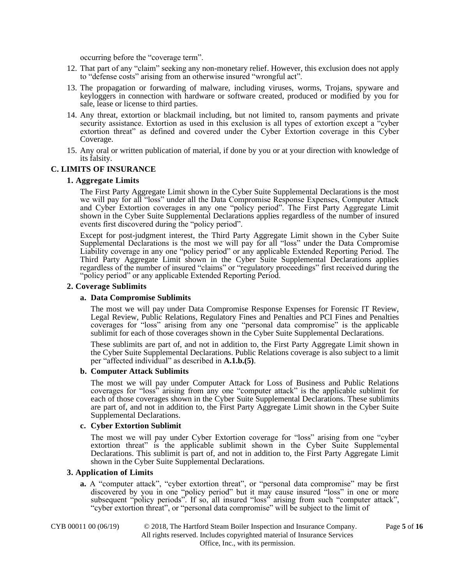occurring before the "coverage term".

- 12. That part of any "claim" seeking any non-monetary relief. However, this exclusion does not apply to "defense costs" arising from an otherwise insured "wrongful act".
- 13. The propagation or forwarding of malware, including viruses, worms, Trojans, spyware and keyloggers in connection with hardware or software created, produced or modified by you for sale, lease or license to third parties.
- 14. Any threat, extortion or blackmail including, but not limited to, ransom payments and private security assistance. Extortion as used in this exclusion is all types of extortion except a "cyber extortion threat" as defined and covered under the Cyber Extortion coverage in this Cyber Coverage.
- 15. Any oral or written publication of material, if done by you or at your direction with knowledge of its falsity.

#### **C. LIMITS OF INSURANCE**

#### **1. Aggregate Limits**

The First Party Aggregate Limit shown in the Cyber Suite Supplemental Declarations is the most we will pay for all "loss" under all the Data Compromise Response Expenses, Computer Attack and Cyber Extortion coverages in any one "policy period". The First Party Aggregate Limit shown in the Cyber Suite Supplemental Declarations applies regardless of the number of insured events first discovered during the "policy period".

Except for post-judgment interest, the Third Party Aggregate Limit shown in the Cyber Suite Supplemental Declarations is the most we will pay for all "loss" under the Data Compromise Liability coverage in any one "policy period" or any applicable Extended Reporting Period. The Third Party Aggregate Limit shown in the Cyber Suite Supplemental Declarations applies regardless of the number of insured "claims" or "regulatory proceedings" first received during the "policy period" or any applicable Extended Reporting Period.

#### **2. Coverage Sublimits**

#### **a. Data Compromise Sublimits**

The most we will pay under Data Compromise Response Expenses for Forensic IT Review, Legal Review, Public Relations, Regulatory Fines and Penalties and PCI Fines and Penalties coverages for "loss" arising from any one "personal data compromise" is the applicable sublimit for each of those coverages shown in the Cyber Suite Supplemental Declarations.

These sublimits are part of, and not in addition to, the First Party Aggregate Limit shown in the Cyber Suite Supplemental Declarations. Public Relations coverage is also subject to a limit per "affected individual" as described in **A.1.b.(5)**.

#### **b. Computer Attack Sublimits**

The most we will pay under Computer Attack for Loss of Business and Public Relations coverages for "loss" arising from any one "computer attack" is the applicable sublimit for each of those coverages shown in the Cyber Suite Supplemental Declarations. These sublimits are part of, and not in addition to, the First Party Aggregate Limit shown in the Cyber Suite Supplemental Declarations.

#### **c. Cyber Extortion Sublimit**

The most we will pay under Cyber Extortion coverage for "loss" arising from one "cyber extortion threat" is the applicable sublimit shown in the Cyber Suite Supplemental Declarations. This sublimit is part of, and not in addition to, the First Party Aggregate Limit shown in the Cyber Suite Supplemental Declarations.

#### **3. Application of Limits**

**a.** A "computer attack", "cyber extortion threat", or "personal data compromise" may be first discovered by you in one "policy period" but it may cause insured "loss" in one or more subsequent "policy periods". If so, all insured "loss" arising from such "computer attack", "cyber extortion threat", or "personal data compromise" will be subject to the limit of

CYB 00011 00 (06/19) © 2018, The Hartford Steam Boiler Inspection and Insurance Company. Page **5** of **16** All rights reserved. Includes copyrighted material of Insurance Services Office, Inc., with its permission.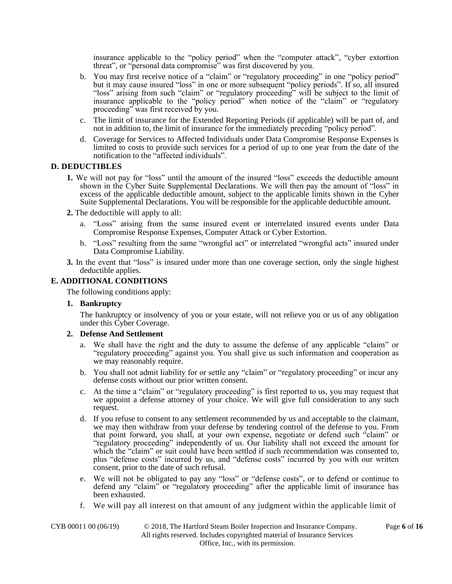insurance applicable to the "policy period" when the "computer attack", "cyber extortion threat", or "personal data compromise" was first discovered by you.

- b. You may first receive notice of a "claim" or "regulatory proceeding" in one "policy period" but it may cause insured "loss" in one or more subsequent "policy periods". If so, all insured "loss" arising from such "claim" or "regulatory proceeding" will be subject to the limit of insurance applicable to the "policy period" when notice of the "claim" or "regulatory proceeding" was first received by you.
- c. The limit of insurance for the Extended Reporting Periods (if applicable) will be part of, and not in addition to, the limit of insurance for the immediately preceding "policy period".
- d. Coverage for Services to Affected Individuals under Data Compromise Response Expenses is limited to costs to provide such services for a period of up to one year from the date of the notification to the "affected individuals".

# **D. DEDUCTIBLES**

- **1.** We will not pay for "loss" until the amount of the insured "loss" exceeds the deductible amount shown in the Cyber Suite Supplemental Declarations. We will then pay the amount of "loss" in excess of the applicable deductible amount, subject to the applicable limits shown in the Cyber Suite Supplemental Declarations. You will be responsible for the applicable deductible amount.
- **2.** The deductible will apply to all:
	- a. "Loss" arising from the same insured event or interrelated insured events under Data Compromise Response Expenses, Computer Attack or Cyber Extortion.
	- b. "Loss" resulting from the same "wrongful act" or interrelated "wrongful acts" insured under Data Compromise Liability.
- **3.** In the event that "loss" is insured under more than one coverage section, only the single highest deductible applies.

### **E. ADDITIONAL CONDITIONS**

The following conditions apply:

## **1. Bankruptcy**

The bankruptcy or insolvency of you or your estate, will not relieve you or us of any obligation under this Cyber Coverage.

### **2. Defense And Settlement**

- a. We shall have the right and the duty to assume the defense of any applicable "claim" or "regulatory proceeding" against you. You shall give us such information and cooperation as we may reasonably require.
- b. You shall not admit liability for or settle any "claim" or "regulatory proceeding" or incur any defense costs without our prior written consent.
- c. At the time a "claim" or "regulatory proceeding" is first reported to us, you may request that we appoint a defense attorney of your choice. We will give full consideration to any such request.
- d. If you refuse to consent to any settlement recommended by us and acceptable to the claimant, we may then withdraw from your defense by tendering control of the defense to you. From that point forward, you shall, at your own expense, negotiate or defend such "claim" or "regulatory proceeding" independently of us. Our liability shall not exceed the amount for which the "claim" or suit could have been settled if such recommendation was consented to, plus "defense costs" incurred by us, and "defense costs" incurred by you with our written consent, prior to the date of such refusal.
- e. We will not be obligated to pay any "loss" or "defense costs", or to defend or continue to defend any "claim" or "regulatory proceeding" after the applicable limit of insurance has been exhausted.
- f. We will pay all interest on that amount of any judgment within the applicable limit of

CYB 00011 00 (06/19) © 2018, The Hartford Steam Boiler Inspection and Insurance Company. Page **6** of **16** All rights reserved. Includes copyrighted material of Insurance Services Office, Inc., with its permission.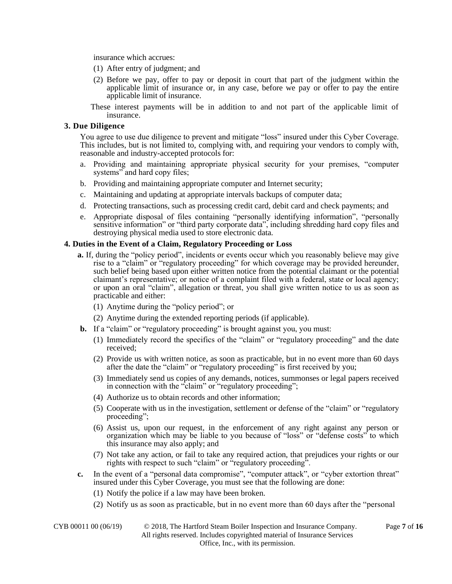insurance which accrues:

- (1) After entry of judgment; and
- (2) Before we pay, offer to pay or deposit in court that part of the judgment within the applicable limit of insurance or, in any case, before we pay or offer to pay the entire applicable limit of insurance.
- These interest payments will be in addition to and not part of the applicable limit of insurance.

#### **3. Due Diligence**

You agree to use due diligence to prevent and mitigate "loss" insured under this Cyber Coverage. This includes, but is not limited to, complying with, and requiring your vendors to comply with, reasonable and industry-accepted protocols for:

- a. Providing and maintaining appropriate physical security for your premises, "computer systems" and hard copy files;
- b. Providing and maintaining appropriate computer and Internet security;
- c. Maintaining and updating at appropriate intervals backups of computer data;
- d. Protecting transactions, such as processing credit card, debit card and check payments; and
- e. Appropriate disposal of files containing "personally identifying information", "personally sensitive information" or "third party corporate data", including shredding hard copy files and destroying physical media used to store electronic data.

### **4. Duties in the Event of a Claim, Regulatory Proceeding or Loss**

- **a.** If, during the "policy period", incidents or events occur which you reasonably believe may give rise to a "claim" or "regulatory proceeding" for which coverage may be provided hereunder, such belief being based upon either written notice from the potential claimant or the potential claimant's representative; or notice of a complaint filed with a federal, state or local agency; or upon an oral "claim", allegation or threat, you shall give written notice to us as soon as practicable and either:
	- (1) Anytime during the "policy period"; or
	- (2) Anytime during the extended reporting periods (if applicable).
- **b.** If a "claim" or "regulatory proceeding" is brought against you, you must:
	- (1) Immediately record the specifics of the "claim" or "regulatory proceeding" and the date received;
	- (2) Provide us with written notice, as soon as practicable, but in no event more than 60 days after the date the "claim" or "regulatory proceeding" is first received by you;
	- (3) Immediately send us copies of any demands, notices, summonses or legal papers received in connection with the "claim" or "regulatory proceeding";
	- (4) Authorize us to obtain records and other information;
	- (5) Cooperate with us in the investigation, settlement or defense of the "claim" or "regulatory proceeding";
	- (6) Assist us, upon our request, in the enforcement of any right against any person or organization which may be liable to you because of "loss" or "defense costs" to which this insurance may also apply; and
	- (7) Not take any action, or fail to take any required action, that prejudices your rights or our rights with respect to such "claim" or "regulatory proceeding".
- **c.** In the event of a "personal data compromise", "computer attack", or "cyber extortion threat" insured under this Cyber Coverage, you must see that the following are done:
	- (1) Notify the police if a law may have been broken.
	- (2) Notify us as soon as practicable, but in no event more than 60 days after the "personal

| CYB 00011 00 (06/19) | © 2018, The Hartford Steam Boiler Inspection and Insurance Company.      | Page 7 of 16 |
|----------------------|--------------------------------------------------------------------------|--------------|
|                      | All rights reserved. Includes copyrighted material of Insurance Services |              |
|                      | Office, Inc., with its permission.                                       |              |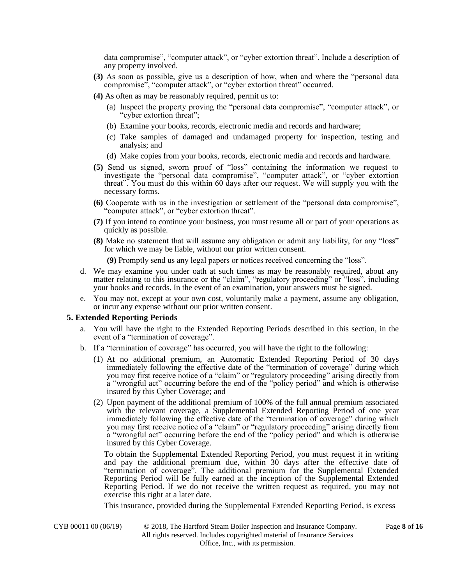data compromise", "computer attack", or "cyber extortion threat". Include a description of any property involved.

- **(3)** As soon as possible, give us a description of how, when and where the "personal data compromise", "computer attack", or "cyber extortion threat" occurred.
- **(4)** As often as may be reasonably required, permit us to:
	- (a) Inspect the property proving the "personal data compromise", "computer attack", or "cyber extortion threat";
	- (b) Examine your books, records, electronic media and records and hardware;
	- (c) Take samples of damaged and undamaged property for inspection, testing and analysis; and
	- (d) Make copies from your books, records, electronic media and records and hardware.
- **(5)** Send us signed, sworn proof of "loss" containing the information we request to investigate the "personal data compromise", "computer attack", or "cyber extortion threat". You must do this within 60 days after our request. We will supply you with the necessary forms.
- **(6)** Cooperate with us in the investigation or settlement of the "personal data compromise", "computer attack", or "cyber extortion threat".
- **(7)** If you intend to continue your business, you must resume all or part of your operations as quickly as possible.
- **(8)** Make no statement that will assume any obligation or admit any liability, for any "loss" for which we may be liable, without our prior written consent.

**(9)** Promptly send us any legal papers or notices received concerning the "loss".

- d. We may examine you under oath at such times as may be reasonably required, about any matter relating to this insurance or the "claim", "regulatory proceeding" or "loss", including your books and records. In the event of an examination, your answers must be signed.
- e. You may not, except at your own cost, voluntarily make a payment, assume any obligation, or incur any expense without our prior written consent.

#### **5. Extended Reporting Periods**

- a. You will have the right to the Extended Reporting Periods described in this section, in the event of a "termination of coverage".
- b. If a "termination of coverage" has occurred, you will have the right to the following:
	- (1) At no additional premium, an Automatic Extended Reporting Period of 30 days immediately following the effective date of the "termination of coverage" during which you may first receive notice of a "claim" or "regulatory proceeding" arising directly from a "wrongful act" occurring before the end of the "policy period" and which is otherwise insured by this Cyber Coverage; and
	- (2) Upon payment of the additional premium of 100% of the full annual premium associated with the relevant coverage, a Supplemental Extended Reporting Period of one year immediately following the effective date of the "termination of coverage" during which you may first receive notice of a "claim" or "regulatory proceeding" arising directly from a "wrongful act" occurring before the end of the "policy period" and which is otherwise insured by this Cyber Coverage.

To obtain the Supplemental Extended Reporting Period, you must request it in writing and pay the additional premium due, within 30 days after the effective date of "termination of coverage". The additional premium for the Supplemental Extended Reporting Period will be fully earned at the inception of the Supplemental Extended Reporting Period. If we do not receive the written request as required, you may not exercise this right at a later date.

This insurance, provided during the Supplemental Extended Reporting Period, is excess

CYB 00011 00 (06/19) © 2018, The Hartford Steam Boiler Inspection and Insurance Company. Page **8** of **16** All rights reserved. Includes copyrighted material of Insurance Services Office, Inc., with its permission.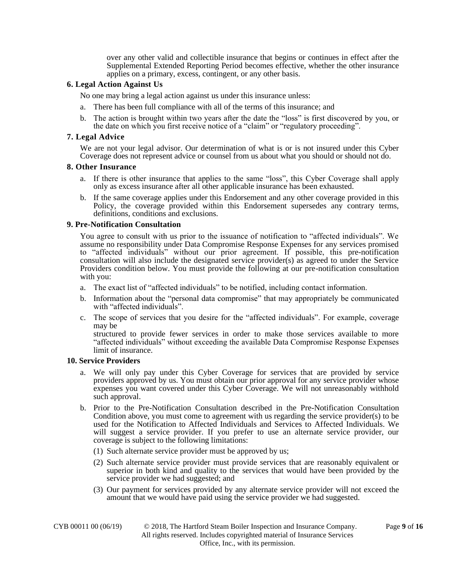over any other valid and collectible insurance that begins or continues in effect after the Supplemental Extended Reporting Period becomes effective, whether the other insurance applies on a primary, excess, contingent, or any other basis.

## **6. Legal Action Against Us**

No one may bring a legal action against us under this insurance unless:

- a. There has been full compliance with all of the terms of this insurance; and
- b. The action is brought within two years after the date the "loss" is first discovered by you, or the date on which you first receive notice of a "claim" or "regulatory proceeding".

## **7. Legal Advice**

We are not your legal advisor. Our determination of what is or is not insured under this Cyber Coverage does not represent advice or counsel from us about what you should or should not do.

### **8. Other Insurance**

- a. If there is other insurance that applies to the same "loss", this Cyber Coverage shall apply only as excess insurance after all other applicable insurance has been exhausted.
- b. If the same coverage applies under this Endorsement and any other coverage provided in this Policy, the coverage provided within this Endorsement supersedes any contrary terms, definitions, conditions and exclusions.

## **9. Pre-Notification Consultation**

You agree to consult with us prior to the issuance of notification to "affected individuals". We assume no responsibility under Data Compromise Response Expenses for any services promised to "affected individuals" without our prior agreement. If possible, this pre-notification consultation will also include the designated service provider(s) as agreed to under the Service Providers condition below. You must provide the following at our pre-notification consultation with you:

- a. The exact list of "affected individuals" to be notified, including contact information.
- b. Information about the "personal data compromise" that may appropriately be communicated with "affected individuals".
- c. The scope of services that you desire for the "affected individuals". For example, coverage may be

structured to provide fewer services in order to make those services available to more "affected individuals" without exceeding the available Data Compromise Response Expenses limit of insurance.

### **10. Service Providers**

- a. We will only pay under this Cyber Coverage for services that are provided by service providers approved by us. You must obtain our prior approval for any service provider whose expenses you want covered under this Cyber Coverage. We will not unreasonably withhold such approval.
- b. Prior to the Pre-Notification Consultation described in the Pre-Notification Consultation Condition above, you must come to agreement with us regarding the service provider(s) to be used for the Notification to Affected Individuals and Services to Affected Individuals. We will suggest a service provider. If you prefer to use an alternate service provider, our coverage is subject to the following limitations:
	- (1) Such alternate service provider must be approved by us;
	- (2) Such alternate service provider must provide services that are reasonably equivalent or superior in both kind and quality to the services that would have been provided by the service provider we had suggested; and
	- (3) Our payment for services provided by any alternate service provider will not exceed the amount that we would have paid using the service provider we had suggested.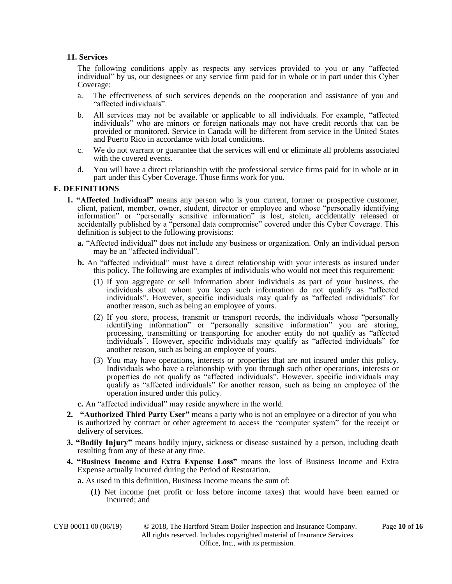## **11. Services**

The following conditions apply as respects any services provided to you or any "affected individual" by us, our designees or any service firm paid for in whole or in part under this Cyber Coverage:

- a. The effectiveness of such services depends on the cooperation and assistance of you and "affected individuals".
- b. All services may not be available or applicable to all individuals. For example, "affected individuals" who are minors or foreign nationals may not have credit records that can be provided or monitored. Service in Canada will be different from service in the United States and Puerto Rico in accordance with local conditions.
- c. We do not warrant or guarantee that the services will end or eliminate all problems associated with the covered events.
- d. You will have a direct relationship with the professional service firms paid for in whole or in part under this Cyber Coverage. Those firms work for you.

# **F. DEFINITIONS**

- **1. "Affected Individual"** means any person who is your current, former or prospective customer, client, patient, member, owner, student, director or employee and whose "personally identifying information" or "personally sensitive information" is lost, stolen, accidentally released or accidentally published by a "personal data compromise" covered under this Cyber Coverage. This definition is subject to the following provisions:
	- **a.** "Affected individual" does not include any business or organization. Only an individual person may be an "affected individual".
	- **b.** An "affected individual" must have a direct relationship with your interests as insured under this policy. The following are examples of individuals who would not meet this requirement:
		- (1) If you aggregate or sell information about individuals as part of your business, the individuals about whom you keep such information do not qualify as "affected individuals". However, specific individuals may qualify as "affected individuals" for another reason, such as being an employee of yours.
		- (2) If you store, process, transmit or transport records, the individuals whose "personally identifying information" or "personally sensitive information" you are storing, processing, transmitting or transporting for another entity do not qualify as "affected individuals". However, specific individuals may qualify as "affected individuals" for another reason, such as being an employee of yours.
		- (3) You may have operations, interests or properties that are not insured under this policy. Individuals who have a relationship with you through such other operations, interests or properties do not qualify as "affected individuals". However, specific individuals may qualify as "affected individuals" for another reason, such as being an employee of the operation insured under this policy.

**c.** An "affected individual" may reside anywhere in the world.

- **2. "Authorized Third Party User"** means a party who is not an employee or a director of you who is authorized by contract or other agreement to access the "computer system" for the receipt or delivery of services.
- **3. "Bodily Injury"** means bodily injury, sickness or disease sustained by a person, including death resulting from any of these at any time.
- **4. "Business Income and Extra Expense Loss"** means the loss of Business Income and Extra Expense actually incurred during the Period of Restoration.

**a.** As used in this definition, Business Income means the sum of:

**(1)** Net income (net profit or loss before income taxes) that would have been earned or incurred; and

CYB 00011 00 (06/19) © 2018, The Hartford Steam Boiler Inspection and Insurance Company. Page **10** of **16** All rights reserved. Includes copyrighted material of Insurance Services Office, Inc., with its permission.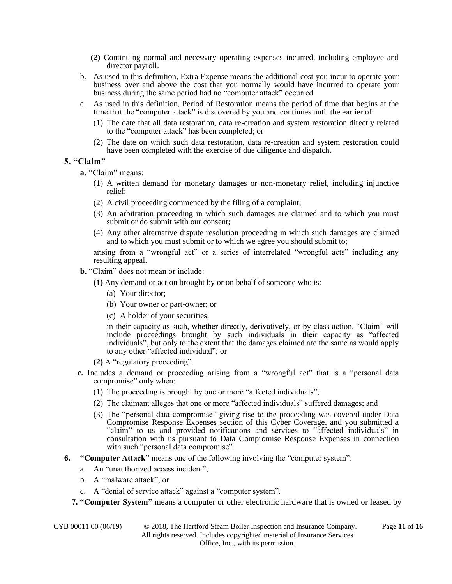- **(2)** Continuing normal and necessary operating expenses incurred, including employee and director payroll.
- b. As used in this definition, Extra Expense means the additional cost you incur to operate your business over and above the cost that you normally would have incurred to operate your business during the same period had no "computer attack" occurred.
- c. As used in this definition, Period of Restoration means the period of time that begins at the time that the "computer attack" is discovered by you and continues until the earlier of:
	- (1) The date that all data restoration, data re-creation and system restoration directly related to the "computer attack" has been completed; or
	- (2) The date on which such data restoration, data re-creation and system restoration could have been completed with the exercise of due diligence and dispatch.

## **5. "Claim"**

**a.** "Claim" means:

- (1) A written demand for monetary damages or non-monetary relief, including injunctive relief;
- (2) A civil proceeding commenced by the filing of a complaint;
- (3) An arbitration proceeding in which such damages are claimed and to which you must submit or do submit with our consent;
- (4) Any other alternative dispute resolution proceeding in which such damages are claimed and to which you must submit or to which we agree you should submit to;

arising from a "wrongful act" or a series of interrelated "wrongful acts" including any resulting appeal.

**b.** "Claim" does not mean or include:

**(1)** Any demand or action brought by or on behalf of someone who is:

- (a) Your director;
- (b) Your owner or part-owner; or
- (c) A holder of your securities,

in their capacity as such, whether directly, derivatively, or by class action. "Claim" will include proceedings brought by such individuals in their capacity as "affected individuals", but only to the extent that the damages claimed are the same as would apply to any other "affected individual"; or

- **(2)** A "regulatory proceeding".
- **c.** Includes a demand or proceeding arising from a "wrongful act" that is a "personal data compromise" only when:
	- (1) The proceeding is brought by one or more "affected individuals";
	- (2) The claimant alleges that one or more "affected individuals" suffered damages; and
	- (3) The "personal data compromise" giving rise to the proceeding was covered under Data Compromise Response Expenses section of this Cyber Coverage, and you submitted a "claim" to us and provided notifications and services to "affected individuals" in consultation with us pursuant to Data Compromise Response Expenses in connection with such "personal data compromise".
- **6. "Computer Attack"** means one of the following involving the "computer system":
	- a. An "unauthorized access incident";
	- b. A "malware attack"; or
	- c. A "denial of service attack" against a "computer system".
	- **7. "Computer System"** means a computer or other electronic hardware that is owned or leased by

CYB 00011 00 (06/19) © 2018, The Hartford Steam Boiler Inspection and Insurance Company. Page **11** of **16**

All rights reserved. Includes copyrighted material of Insurance Services Office, Inc., with its permission.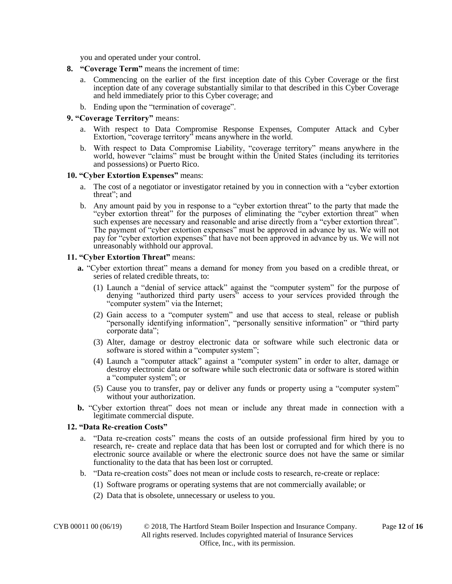you and operated under your control.

- **8. "Coverage Term"** means the increment of time:
	- a. Commencing on the earlier of the first inception date of this Cyber Coverage or the first inception date of any coverage substantially similar to that described in this Cyber Coverage and held immediately prior to this Cyber coverage; and
	- b. Ending upon the "termination of coverage".

#### **9. "Coverage Territory"** means:

- a. With respect to Data Compromise Response Expenses, Computer Attack and Cyber Extortion, "coverage territory" means anywhere in the world.
- b. With respect to Data Compromise Liability, "coverage territory" means anywhere in the world, however "claims" must be brought within the United States (including its territories and possessions) or Puerto Rico.

#### **10. "Cyber Extortion Expenses"** means:

- a. The cost of a negotiator or investigator retained by you in connection with a "cyber extortion threat"; and
- b. Any amount paid by you in response to a "cyber extortion threat" to the party that made the "cyber extortion threat" for the purposes of eliminating the "cyber extortion threat" when such expenses are necessary and reasonable and arise directly from a "cyber extortion threat". The payment of "cyber extortion expenses" must be approved in advance by us. We will not pay for "cyber extortion expenses" that have not been approved in advance by us. We will not unreasonably withhold our approval.

### **11. "Cyber Extortion Threat"** means:

- **a.** "Cyber extortion threat" means a demand for money from you based on a credible threat, or series of related credible threats, to:
	- (1) Launch a "denial of service attack" against the "computer system" for the purpose of denying "authorized third party users" access to your services provided through the "computer system" via the Internet;
	- (2) Gain access to a "computer system" and use that access to steal, release or publish "personally identifying information", "personally sensitive information" or "third party corporate data";
	- (3) Alter, damage or destroy electronic data or software while such electronic data or software is stored within a "computer system";
	- (4) Launch a "computer attack" against a "computer system" in order to alter, damage or destroy electronic data or software while such electronic data or software is stored within a "computer system"; or
	- (5) Cause you to transfer, pay or deliver any funds or property using a "computer system" without your authorization.
- **b.** "Cyber extortion threat" does not mean or include any threat made in connection with a legitimate commercial dispute.

#### **12. "Data Re-creation Costs"**

- a. "Data re-creation costs" means the costs of an outside professional firm hired by you to research, re- create and replace data that has been lost or corrupted and for which there is no electronic source available or where the electronic source does not have the same or similar functionality to the data that has been lost or corrupted.
- b. "Data re-creation costs" does not mean or include costs to research, re-create or replace:
	- (1) Software programs or operating systems that are not commercially available; or
		- (2) Data that is obsolete, unnecessary or useless to you.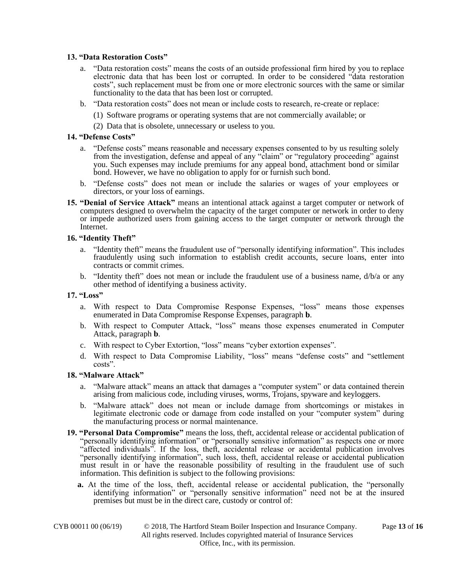### **13. "Data Restoration Costs"**

- a. "Data restoration costs" means the costs of an outside professional firm hired by you to replace electronic data that has been lost or corrupted. In order to be considered "data restoration costs", such replacement must be from one or more electronic sources with the same or similar functionality to the data that has been lost or corrupted.
- b. "Data restoration costs" does not mean or include costs to research, re-create or replace:
	- (1) Software programs or operating systems that are not commercially available; or
	- (2) Data that is obsolete, unnecessary or useless to you.

### **14. "Defense Costs"**

- a. "Defense costs" means reasonable and necessary expenses consented to by us resulting solely from the investigation, defense and appeal of any "claim" or "regulatory proceeding" against you. Such expenses may include premiums for any appeal bond, attachment bond or similar bond. However, we have no obligation to apply for or furnish such bond.
- b. "Defense costs" does not mean or include the salaries or wages of your employees or directors, or your loss of earnings.
- **15. "Denial of Service Attack"** means an intentional attack against a target computer or network of computers designed to overwhelm the capacity of the target computer or network in order to deny or impede authorized users from gaining access to the target computer or network through the Internet.

### **16. "Identity Theft"**

- a. "Identity theft" means the fraudulent use of "personally identifying information". This includes fraudulently using such information to establish credit accounts, secure loans, enter into contracts or commit crimes.
- b. "Identity theft" does not mean or include the fraudulent use of a business name,  $d/b/a$  or any other method of identifying a business activity.

## **17. "Loss"**

- a. With respect to Data Compromise Response Expenses, "loss" means those expenses enumerated in Data Compromise Response Expenses, paragraph **b**.
- b. With respect to Computer Attack, "loss" means those expenses enumerated in Computer Attack, paragraph **b**.
- c. With respect to Cyber Extortion, "loss" means "cyber extortion expenses".
- d. With respect to Data Compromise Liability, "loss" means "defense costs" and "settlement costs".

### **18. "Malware Attack"**

- a. "Malware attack" means an attack that damages a "computer system" or data contained therein arising from malicious code, including viruses, worms, Trojans, spyware and keyloggers.
- b. "Malware attack" does not mean or include damage from shortcomings or mistakes in legitimate electronic code or damage from code installed on your "computer system" during the manufacturing process or normal maintenance.
- **19. "Personal Data Compromise"** means the loss, theft, accidental release or accidental publication of "personally identifying information" or "personally sensitive information" as respects one or more "affected individuals". If the loss, theft, accidental release or accidental publication involves "personally identifying information", such loss, theft, accidental release or accidental publication must result in or have the reasonable possibility of resulting in the fraudulent use of such information. This definition is subject to the following provisions:
	- **a.** At the time of the loss, theft, accidental release or accidental publication, the "personally identifying information" or "personally sensitive information" need not be at the insured premises but must be in the direct care, custody or control of: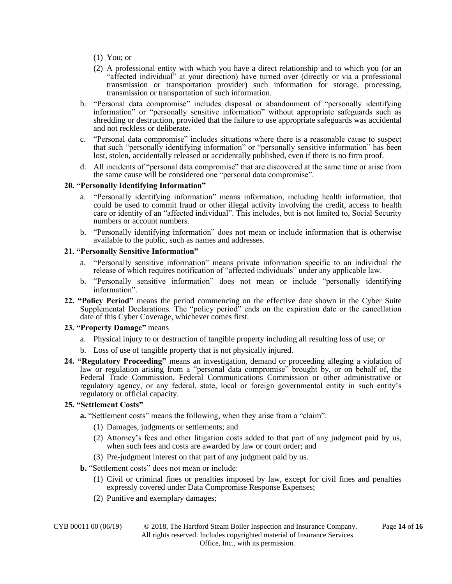- (1) You; or
- (2) A professional entity with which you have a direct relationship and to which you (or an "affected individual" at your direction) have turned over (directly or via a professional transmission or transportation provider) such information for storage, processing, transmission or transportation of such information.
- b. "Personal data compromise" includes disposal or abandonment of "personally identifying information" or "personally sensitive information" without appropriate safeguards such as shredding or destruction, provided that the failure to use appropriate safeguards was accidental and not reckless or deliberate.
- c. "Personal data compromise" includes situations where there is a reasonable cause to suspect that such "personally identifying information" or "personally sensitive information" has been lost, stolen, accidentally released or accidentally published, even if there is no firm proof.
- d. All incidents of "personal data compromise" that are discovered at the same time or arise from the same cause will be considered one "personal data compromise".

### **20. "Personally Identifying Information"**

- a. "Personally identifying information" means information, including health information, that could be used to commit fraud or other illegal activity involving the credit, access to health care or identity of an "affected individual". This includes, but is not limited to, Social Security numbers or account numbers.
- b. "Personally identifying information" does not mean or include information that is otherwise available to the public, such as names and addresses.

### **21. "Personally Sensitive Information"**

- a. "Personally sensitive information" means private information specific to an individual the release of which requires notification of "affected individuals" under any applicable law.
- b. "Personally sensitive information" does not mean or include "personally identifying information".
- **22. "Policy Period"** means the period commencing on the effective date shown in the Cyber Suite Supplemental Declarations. The "policy period" ends on the expiration date or the cancellation date of this Cyber Coverage, whichever comes first.

# **23. "Property Damage"** means

- a. Physical injury to or destruction of tangible property including all resulting loss of use; or
- b. Loss of use of tangible property that is not physically injured.
- **24. "Regulatory Proceeding"** means an investigation, demand or proceeding alleging a violation of law or regulation arising from a "personal data compromise" brought by, or on behalf of, the Federal Trade Commission, Federal Communications Commission or other administrative or regulatory agency, or any federal, state, local or foreign governmental entity in such entity's regulatory or official capacity.

# **25. "Settlement Costs"**

**a.** "Settlement costs" means the following, when they arise from a "claim":

- (1) Damages, judgments or settlements; and
- (2) Attorney's fees and other litigation costs added to that part of any judgment paid by us, when such fees and costs are awarded by law or court order; and
- (3) Pre-judgment interest on that part of any judgment paid by us.
- **b.** "Settlement costs" does not mean or include:
	- (1) Civil or criminal fines or penalties imposed by law, except for civil fines and penalties expressly covered under Data Compromise Response Expenses;
	- (2) Punitive and exemplary damages;

CYB 00011 00 (06/19) © 2018, The Hartford Steam Boiler Inspection and Insurance Company. Page **14** of **16** All rights reserved. Includes copyrighted material of Insurance Services Office, Inc., with its permission.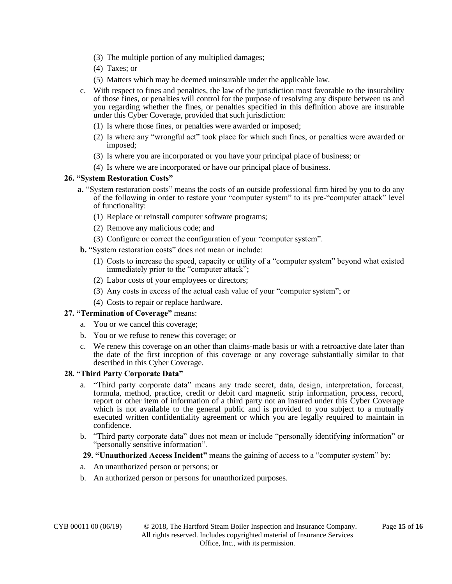- (3) The multiple portion of any multiplied damages;
- (4) Taxes; or
- (5) Matters which may be deemed uninsurable under the applicable law.
- c. With respect to fines and penalties, the law of the jurisdiction most favorable to the insurability of those fines, or penalties will control for the purpose of resolving any dispute between us and you regarding whether the fines, or penalties specified in this definition above are insurable under this Cyber Coverage, provided that such jurisdiction:
	- (1) Is where those fines, or penalties were awarded or imposed;
	- (2) Is where any "wrongful act" took place for which such fines, or penalties were awarded or imposed;
	- (3) Is where you are incorporated or you have your principal place of business; or
	- (4) Is where we are incorporated or have our principal place of business.

## **26. "System Restoration Costs"**

- **a.** "System restoration costs" means the costs of an outside professional firm hired by you to do any of the following in order to restore your "computer system" to its pre-"computer attack" level of functionality:
	- (1) Replace or reinstall computer software programs;
	- (2) Remove any malicious code; and
	- (3) Configure or correct the configuration of your "computer system".
- **b.** "System restoration costs" does not mean or include:
	- (1) Costs to increase the speed, capacity or utility of a "computer system" beyond what existed immediately prior to the "computer attack";
	- (2) Labor costs of your employees or directors;
	- (3) Any costs in excess of the actual cash value of your "computer system"; or
	- (4) Costs to repair or replace hardware.

### **27. "Termination of Coverage"** means:

- a. You or we cancel this coverage;
- b. You or we refuse to renew this coverage; or
- c. We renew this coverage on an other than claims-made basis or with a retroactive date later than the date of the first inception of this coverage or any coverage substantially similar to that described in this Cyber Coverage.

### **28. "Third Party Corporate Data"**

- a. "Third party corporate data" means any trade secret, data, design, interpretation, forecast, formula, method, practice, credit or debit card magnetic strip information, process, record, report or other item of information of a third party not an insured under this Cyber Coverage which is not available to the general public and is provided to you subject to a mutually executed written confidentiality agreement or which you are legally required to maintain in confidence.
- b. "Third party corporate data" does not mean or include "personally identifying information" or "personally sensitive information".

### **29. "Unauthorized Access Incident"** means the gaining of access to a "computer system" by:

- a. An unauthorized person or persons; or
- b. An authorized person or persons for unauthorized purposes.